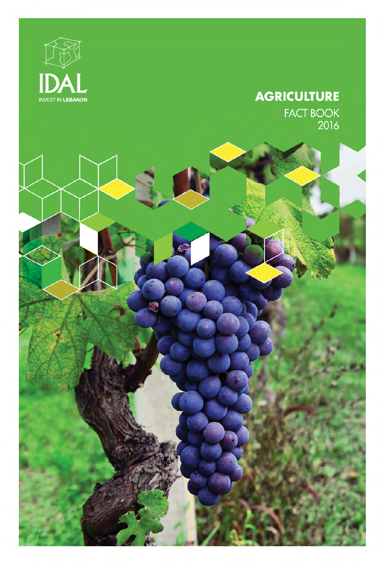

### **AGRICULTURE FACT BOOK**

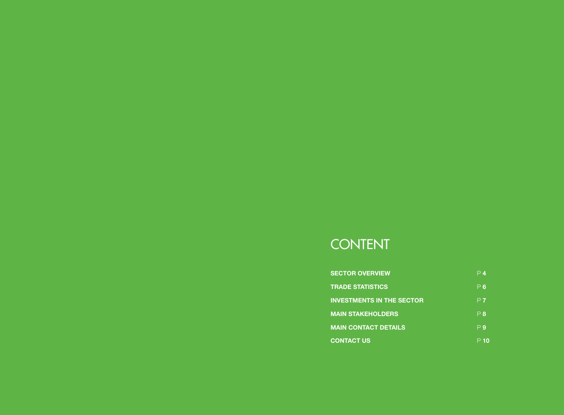# **CONTENT**

| <b>SECTOR OVERVIEW</b>           | Ρ4             |
|----------------------------------|----------------|
| <b>TRADE STATISTICS</b>          | P6             |
| <b>INVESTMENTS IN THE SECTOR</b> | P <sub>7</sub> |
| <b>MAIN STAKEHOLDERS</b>         | P 8            |
| <b>MAIN CONTACT DETAILS</b>      | P 9            |
| <b>CONTACT US</b>                |                |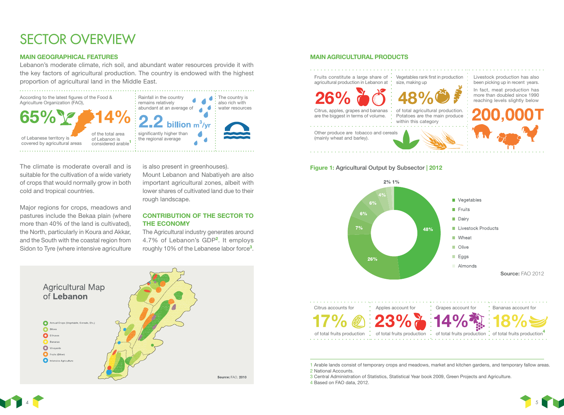# SECTOR OVERVIEW

#### MAIN GEOGRAPHICAL FEATURES

Lebanon's moderate climate, rich soil, and abundant water resources provide it with the key factors of agricultural production. The country is endowed with the highest proportion of agricultural land in the Middle East.



The climate is moderate overall and is suitable for the cultivation of a wide variety of crops that would normally grow in both cold and tropical countries.

Major regions for crops, meadows and pastures include the Bekaa plain (where more than 40% of the land is cultivated), the North, particularly in Koura and Akkar, and the South with the coastal region from Sidon to Tyre (where intensive agriculture

is also present in greenhouses). Mount Lebanon and Nabatiyeh are also important agricultural zones, albeit with lower shares of cultivated land due to their rough landscape.

#### CONTRIBUTION OF THE SECTOR TO THE ECONOMY

The Agricultural industry generates around 4.7% of Lebanon's GDP<sup>2</sup>. It employs roughly 10% of the Lebanese labor force<sup>3</sup>.



#### MAIN AGRICULTURAL PRODUCTS

Livestock production has also been picking up in recent years. In fact, meat production has more than doubled since 1990 reaching levels slightly below Fruits constitute a large share of agricultural production in Lebanon at Vegetables rank first in production size, making up of total agricultural production. Potatoes are the main produce within this category Citrus, apples, grapes and bananas are the biggest in terms of volume. Other produce are tobacco and cereals (mainly wheat and barley). ,000T

#### Figure 1: Agricultural Output by Subsector | 2012



1 Arable lands consist of temporary crops and meadows, market and kitchen gardens, and temporary fallow areas. 2 National Accounts.

3 Central Administration of Statistics, Statistical Year book 2009, Green Projects and Agriculture.

4 Based on FAO data, 2012.



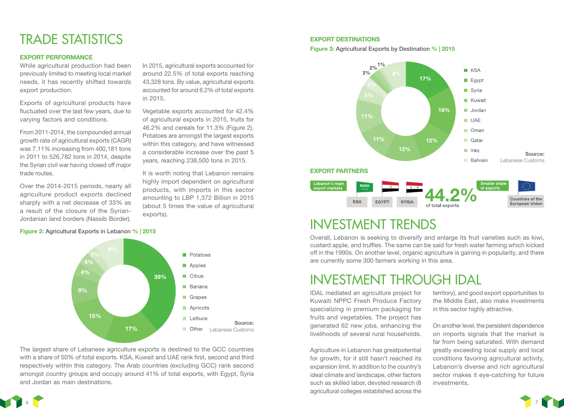## TRADE STATISTICS

#### EXPORT PERFORMANCE

While agricultural production had been previously limited to meeting local market needs, it has recently shifted towards export production.

Exports of agricultural products have fluctuated over the last few years, due to varying factors and conditions.

From 2011-2014, the compounded annual growth rate of agricultural exports (CAGR) was 7.11% increasing from 400,181 tons in 2011 to 526,782 tons in 2014, despite the Syrian civil war having closed off major trade routes.

Over the 2014-2015 periods, nearly all agriculture product exports declined sharply with a net decrease of 33% as a result of the closure of the Syrian-Jordanian land borders (Nassib Border).

#### Figure 2: Agricultural Exports in Lebanon % | 2015



in 2015.

exports).

In 2015, agricultural exports accounted for around 22.5% of total exports reaching 43,328 tons. By value, agricultural exports accounted for around 6.2% of total exports

Vegetable exports accounted for 42.4% of agricultural exports in 2015, fruits for 46.2% and cereals for 11.3% (Figure 2). Potatoes are amongst the largest exports within this category, and have witnessed a considerable increase over the past 5 years, reaching 238,500 tons in 2015.

It is worth noting that Lebanon remains highly import dependent on agricultural products, with imports in this sector amounting to LBP 1,372 Billion in 2015 (about 5 times the value of agricultural

The largest share of Lebanese agriculture exports is destined to the GCC countries with a share of 50% of total exports. KSA, Kuwait and UAE rank first, second and third respectively within this category. The Arab countries (excluding GCC) rank second amongst country groups and occupy around 41% of total exports, with Egypt, Syria and Jordan as main destinations.

#### EXPORT DESTINATIONS

Figure 3: Agricultural Exports by Destination % | 2015



### INVESTMENT TRENDS

Overall, Lebanon is seeking to diversify and enlarge its fruit varieties such as kiwi, custard apple, and truffles. The same can be said for fresh water farming which kicked off in the 1990s. On another level, organic agriculture is gaining in popularity, and there are currently some 300 farmers working in this area.

### INVESTMENT THROUGH IDAL

IDAL mediated an agriculture project for Kuwaiti NPPC Fresh Produce Factory specializing in premium packaging for fruits and vegetables. The project has generated 62 new jobs, enhancing the livelihoods of several rural households.

Agriculture in Lebanon has greatpotential for growth, for it still hasn't reached its expansion limit. In addition to the country's ideal climate and landscape, other factors such as skilled labor, devoted research (8 agricultural colleges established across the territory), and good export opportunities to the Middle East, also make investments in this sector highly attractive.

On another level, the persistent dependence on imports signals that the market is far from being saturated. With demand greatly exceeding local supply and local conditions favoring agricultural activity, Lebanon's diverse and rich agricultural sector makes it eye-catching for future investments.

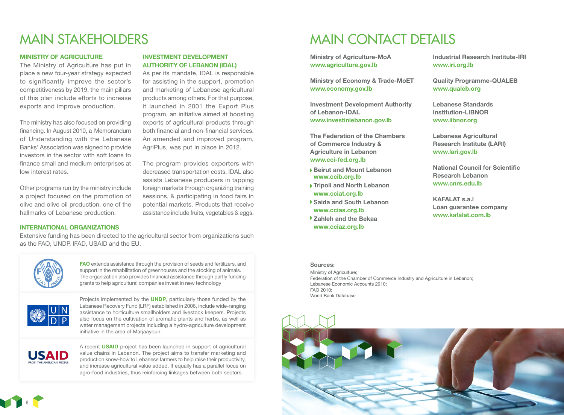## MAIN STAKEHOLDERS

#### MINISTRY OF AGRICULTURE

The Ministry of Agriculture has put in place a new four-year strategy expected to significantly improve the sector's competitiveness by 2019, the main pillars of this plan include efforts to increase exports and improve production.

The ministry has also focused on providing financing. In August 2010, a Memorandum of Understanding with the Lebanese Banks' Association was signed to provide investors in the sector with soft loans to finance small and medium enterprises at low interest rates.

Other programs run by the ministry include a project focused on the promotion of olive and olive oil production, one of the hallmarks of Lebanese production.

#### INVESTMENT DEVELOPMENT AUTHORITY OF LEBANON (IDAL)

As per its mandate, IDAL is responsible for assisting in the support, promotion and marketing of Lebanese agricultural products among others. For that purpose, it launched in 2001 the Export Plus program, an initiative aimed at boosting exports of agricultural products through both financial and non-financial services. An amended and improved program, AgriPlus, was put in place in 2012.

The program provides exporters with decreased transportation costs. IDAL also assists Lebanese producers in tapping foreign markets through organizing training sessions, & participating in food fairs in potential markets. Products that receive assistance include fruits, vegetables & eggs.

#### INTERNATIONAL ORGANIZATIONS

Extensive funding has been directed to the agricultural sector from organizations such as the FAO, UNDP, IFAD, USAID and the EU.



FAO extends assistance through the provision of seeds and fertilizers, and support in the rehabilitation of greenhouses and the stocking of animals. The organization also provides financial assistance through partly funding grants to help agricultural companies invest in new technology



Projects implemented by the **UNDP**, particularly those funded by the Lebanese Recovery Fund (LRF) established in 2006, include wide-ranging assistance to horticulture smallholders and livestock keepers. Projects also focus on the cultivation of aromatic plants and herbs, as well as water management projects including a hydro-agriculture development initiative in the area of Marjaayoun.



A recent USAID project has been launched in support of agricultural value chains in Lebanon. The project aims to transfer marketing and production know-how to Lebanese farmers to help raise their productivity, and increase agricultural value added. It equally has a parallel focus on agro-food industries, thus reinforcing linkages between both sectors.

### MAIN CONTACT DETAILS

Ministry of Agriculture-MoA www.agriculture.gov.lb

Ministry of Economy & Trade-MoET www.economy.gov.lb

Investment Development Authority of Lebanon-IDAL www.investinlebanon.gov.lb

The Federation of the Chambers of Commerce Industry & Agriculture in Lebanon www.cci-fed.org.lb

- ▶ Beirut and Mount Lebanon www.ccib.org.lb
- ▶ Tripoli and North Lebanon www.cciat.org.lb
- Saida and South Lebanon www.ccias.org.lb
- Zahleh and the Bekaa www.cciaz.org.lb

Industrial Research Institute-IRI www.iri.org.lb

Quality Programme-QUALEB www.qualeb.org

Lebanese Standards Institution-LIBNOR www.libnor.org

Lebanese Agricultural Research Institute (LARI) www.lari.gov.lb

National Council for Scientific Research Lebanon www.cnrs.edu.lb

KAFALAT s.a.l Loan guarantee company www.kafalat.com.lb

#### Sources:

Ministry of Agriculture; Federation of the Chamber of Commerce Industry and Agriculture in Lebanon; Lebanese Economic Accounts 2010; FAO 2010; World Bank Database



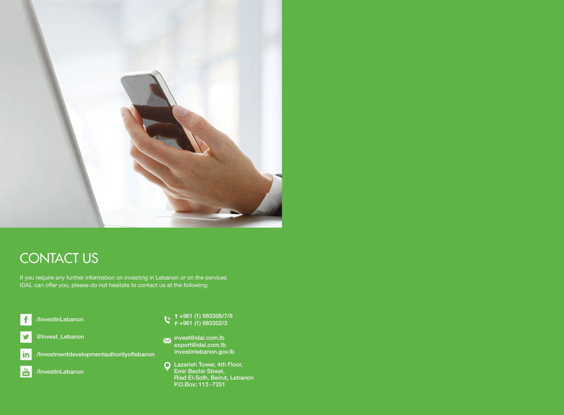

# **CONTACT US**

If you require any further information on investing in Lebanon or on the services IDAL can offer you, please do not hesitate to contact us at the following:





 $\frac{You}{tube}$ /InvestInLebanon

- +961 (1) 983306/7/8 +961 (1) 983302/3
- invest@idal.com.lb export@idal.com.lb investinlebanon.gov.lb
- Lazarieh Tower, 4th Floor, Emir Bechir Street, Riad El-Solh, Beirut, Lebanon P.O.Box: 113 -7251